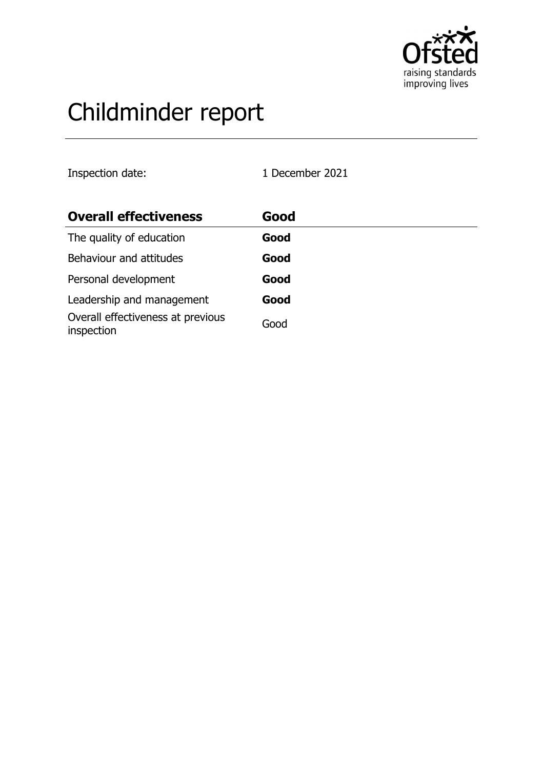

# Childminder report

Inspection date: 1 December 2021

| <b>Overall effectiveness</b>                    | Good |
|-------------------------------------------------|------|
| The quality of education                        | Good |
| Behaviour and attitudes                         | Good |
| Personal development                            | Good |
| Leadership and management                       | Good |
| Overall effectiveness at previous<br>inspection | Good |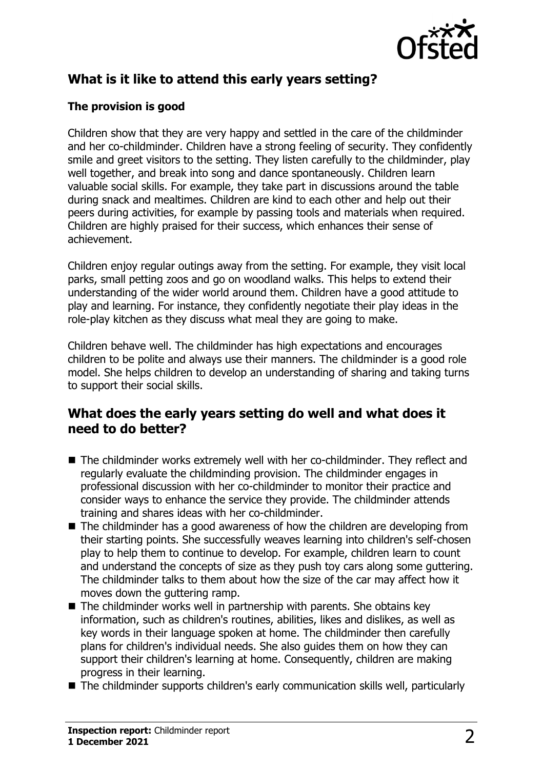

## **What is it like to attend this early years setting?**

## **The provision is good**

Children show that they are very happy and settled in the care of the childminder and her co-childminder. Children have a strong feeling of security. They confidently smile and greet visitors to the setting. They listen carefully to the childminder, play well together, and break into song and dance spontaneously. Children learn valuable social skills. For example, they take part in discussions around the table during snack and mealtimes. Children are kind to each other and help out their peers during activities, for example by passing tools and materials when required. Children are highly praised for their success, which enhances their sense of achievement.

Children enjoy regular outings away from the setting. For example, they visit local parks, small petting zoos and go on woodland walks. This helps to extend their understanding of the wider world around them. Children have a good attitude to play and learning. For instance, they confidently negotiate their play ideas in the role-play kitchen as they discuss what meal they are going to make.

Children behave well. The childminder has high expectations and encourages children to be polite and always use their manners. The childminder is a good role model. She helps children to develop an understanding of sharing and taking turns to support their social skills.

## **What does the early years setting do well and what does it need to do better?**

- $\blacksquare$  The childminder works extremely well with her co-childminder. They reflect and regularly evaluate the childminding provision. The childminder engages in professional discussion with her co-childminder to monitor their practice and consider ways to enhance the service they provide. The childminder attends training and shares ideas with her co-childminder.
- $\blacksquare$  The childminder has a good awareness of how the children are developing from their starting points. She successfully weaves learning into children's self-chosen play to help them to continue to develop. For example, children learn to count and understand the concepts of size as they push toy cars along some guttering. The childminder talks to them about how the size of the car may affect how it moves down the guttering ramp.
- $\blacksquare$  The childminder works well in partnership with parents. She obtains key information, such as children's routines, abilities, likes and dislikes, as well as key words in their language spoken at home. The childminder then carefully plans for children's individual needs. She also guides them on how they can support their children's learning at home. Consequently, children are making progress in their learning.
- $\blacksquare$  The childminder supports children's early communication skills well, particularly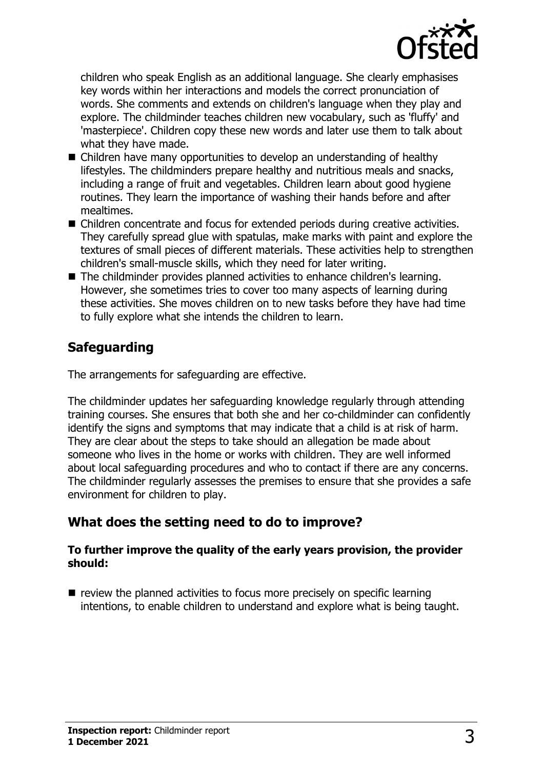

children who speak English as an additional language. She clearly emphasises key words within her interactions and models the correct pronunciation of words. She comments and extends on children's language when they play and explore. The childminder teaches children new vocabulary, such as 'fluffy' and 'masterpiece'. Children copy these new words and later use them to talk about what they have made.

- $\blacksquare$  Children have many opportunities to develop an understanding of healthy lifestyles. The childminders prepare healthy and nutritious meals and snacks, including a range of fruit and vegetables. Children learn about good hygiene routines. They learn the importance of washing their hands before and after mealtimes.
- Children concentrate and focus for extended periods during creative activities. They carefully spread glue with spatulas, make marks with paint and explore the textures of small pieces of different materials. These activities help to strengthen children's small-muscle skills, which they need for later writing.
- $\blacksquare$  The childminder provides planned activities to enhance children's learning. However, she sometimes tries to cover too many aspects of learning during these activities. She moves children on to new tasks before they have had time to fully explore what she intends the children to learn.

## **Safeguarding**

The arrangements for safeguarding are effective.

The childminder updates her safeguarding knowledge regularly through attending training courses. She ensures that both she and her co-childminder can confidently identify the signs and symptoms that may indicate that a child is at risk of harm. They are clear about the steps to take should an allegation be made about someone who lives in the home or works with children. They are well informed about local safeguarding procedures and who to contact if there are any concerns. The childminder regularly assesses the premises to ensure that she provides a safe environment for children to play.

## **What does the setting need to do to improve?**

### **To further improve the quality of the early years provision, the provider should:**

 $\blacksquare$  review the planned activities to focus more precisely on specific learning intentions, to enable children to understand and explore what is being taught.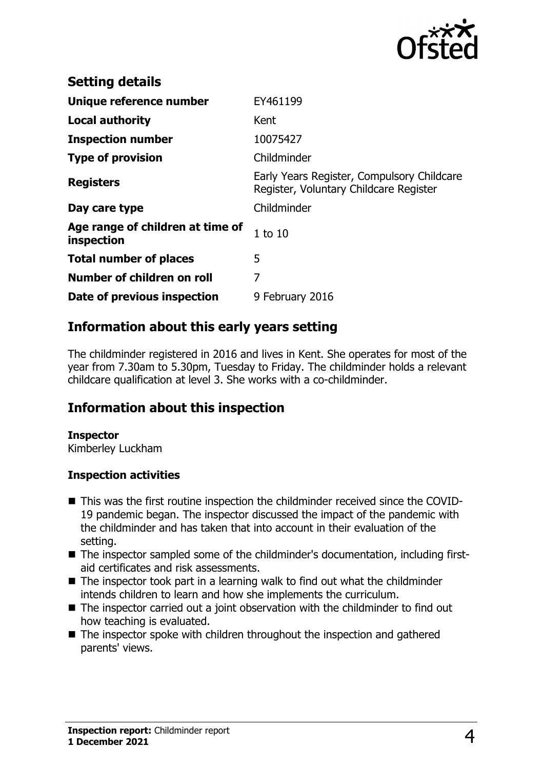

| <b>Setting details</b>                         |                                                                                      |
|------------------------------------------------|--------------------------------------------------------------------------------------|
| Unique reference number                        | EY461199                                                                             |
| <b>Local authority</b>                         | Kent                                                                                 |
| <b>Inspection number</b>                       | 10075427                                                                             |
| <b>Type of provision</b>                       | Childminder                                                                          |
| <b>Registers</b>                               | Early Years Register, Compulsory Childcare<br>Register, Voluntary Childcare Register |
| Day care type                                  | Childminder                                                                          |
| Age range of children at time of<br>inspection | $1$ to $10$                                                                          |
| <b>Total number of places</b>                  | 5                                                                                    |
| Number of children on roll                     | 7                                                                                    |
| Date of previous inspection                    | 9 February 2016                                                                      |

## **Information about this early years setting**

The childminder registered in 2016 and lives in Kent. She operates for most of the year from 7.30am to 5.30pm, Tuesday to Friday. The childminder holds a relevant childcare qualification at level 3. She works with a co-childminder.

## **Information about this inspection**

#### **Inspector**

Kimberley Luckham

#### **Inspection activities**

- This was the first routine inspection the childminder received since the COVID-19 pandemic began. The inspector discussed the impact of the pandemic with the childminder and has taken that into account in their evaluation of the setting.
- The inspector sampled some of the childminder's documentation, including firstaid certificates and risk assessments.
- $\blacksquare$  The inspector took part in a learning walk to find out what the childminder intends children to learn and how she implements the curriculum.
- $\blacksquare$  The inspector carried out a joint observation with the childminder to find out how teaching is evaluated.
- $\blacksquare$  The inspector spoke with children throughout the inspection and gathered parents' views.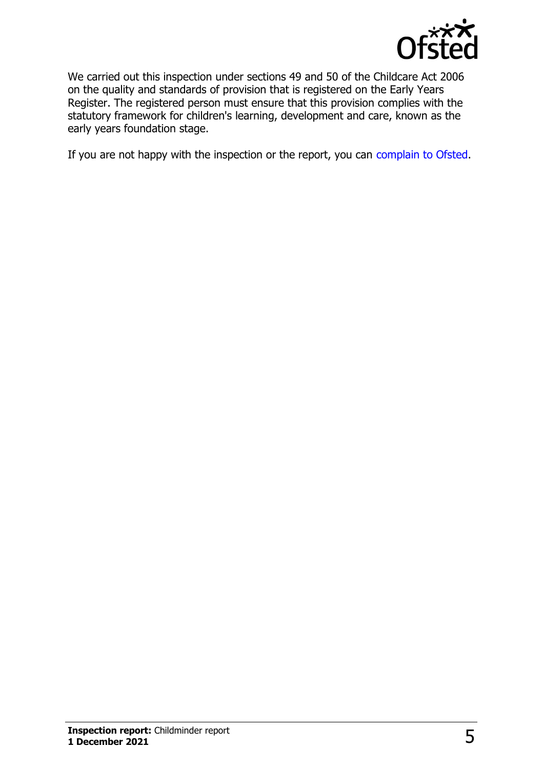

We carried out this inspection under sections 49 and 50 of the Childcare Act 2006 on the quality and standards of provision that is registered on the Early Years Register. The registered person must ensure that this provision complies with the statutory framework for children's learning, development and care, known as the early years foundation stage.

If you are not happy with the inspection or the report, you can [complain to Ofsted](http://www.gov.uk/complain-ofsted-report).